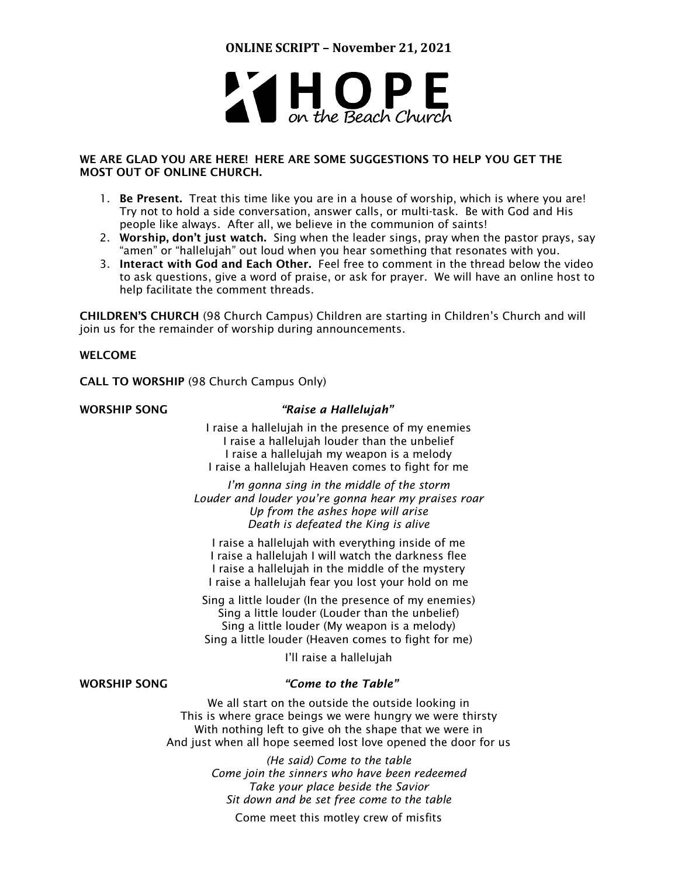

## WE ARE GLAD YOU ARE HERE! HERE ARE SOME SUGGESTIONS TO HELP YOU GET THE MOST OUT OF ONLINE CHURCH.

- 1. Be Present. Treat this time like you are in a house of worship, which is where you are! Try not to hold a side conversation, answer calls, or multi-task. Be with God and His people like always. After all, we believe in the communion of saints!
- 2. Worship, don't just watch. Sing when the leader sings, pray when the pastor prays, say "amen" or "hallelujah" out loud when you hear something that resonates with you.
- 3. Interact with God and Each Other. Feel free to comment in the thread below the video to ask questions, give a word of praise, or ask for prayer. We will have an online host to help facilitate the comment threads.

CHILDREN'S CHURCH (98 Church Campus) Children are starting in Children's Church and will join us for the remainder of worship during announcements.

## WELCOME

CALL TO WORSHIP (98 Church Campus Only)

## WORSHIP SONG *"Raise a Hallelujah"*

I raise a hallelujah in the presence of my enemies I raise a hallelujah louder than the unbelief I raise a hallelujah my weapon is a melody I raise a hallelujah Heaven comes to fight for me

*I'm gonna sing in the middle of the storm Louder and louder you're gonna hear my praises roar Up from the ashes hope will arise Death is defeated the King is alive*

I raise a hallelujah with everything inside of me I raise a hallelujah I will watch the darkness flee I raise a hallelujah in the middle of the mystery I raise a hallelujah fear you lost your hold on me

Sing a little louder (In the presence of my enemies) Sing a little louder (Louder than the unbelief) Sing a little louder (My weapon is a melody) Sing a little louder (Heaven comes to fight for me)

I'll raise a hallelujah

## WORSHIP SONG *"Come to the Table"*

We all start on the outside the outside looking in This is where grace beings we were hungry we were thirsty With nothing left to give oh the shape that we were in And just when all hope seemed lost love opened the door for us

> *(He said) Come to the table Come join the sinners who have been redeemed Take your place beside the Savior Sit down and be set free come to the table*

Come meet this motley crew of misfits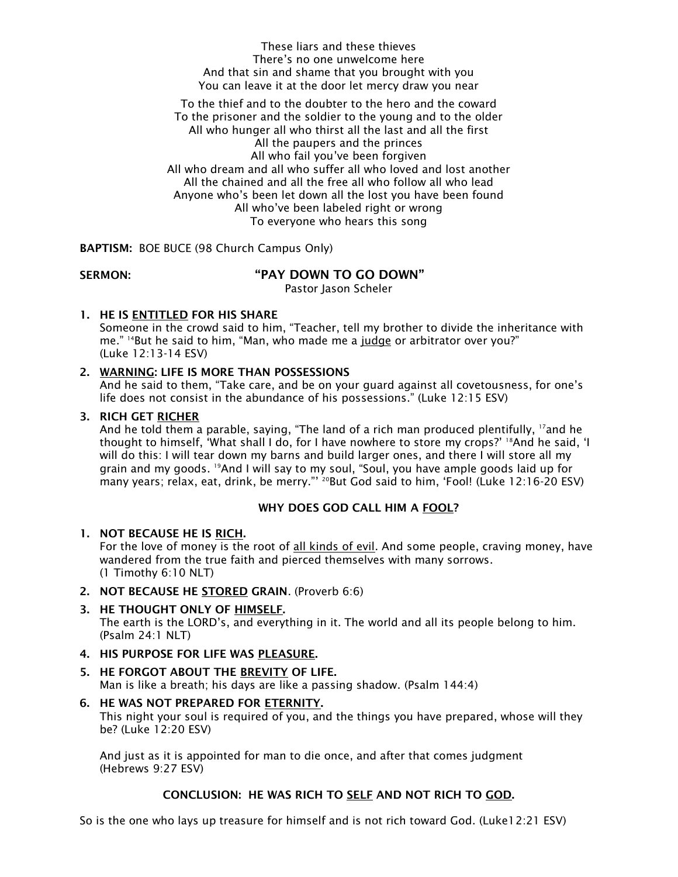These liars and these thieves There's no one unwelcome here And that sin and shame that you brought with you You can leave it at the door let mercy draw you near

To the thief and to the doubter to the hero and the coward To the prisoner and the soldier to the young and to the older All who hunger all who thirst all the last and all the first All the paupers and the princes All who fail you've been forgiven All who dream and all who suffer all who loved and lost another All the chained and all the free all who follow all who lead Anyone who's been let down all the lost you have been found All who've been labeled right or wrong To everyone who hears this song

BAPTISM: BOE BUCE (98 Church Campus Only)

# SERMON: "PAY DOWN TO GO DOWN"

Pastor Jason Scheler

## 1. HE IS ENTITLED FOR HIS SHARE

Someone in the crowd said to him, "Teacher, tell my brother to divide the inheritance with  $me.$ " <sup>[14](http://biblehub.com/luke/12-14.htm)</sup>But he said to him, "Man, who made me a judge or arbitrator over you?" (Luke 12:13-14 ESV)

### 2. WARNING: LIFE IS MORE THAN POSSESSIONS

And he said to them, "Take care, and be on your guard against all covetousness, for one's life does not consist in the abundance of his possessions." (Luke 12:15 ESV)

### 3. RICH GET RICHER

And he told them a parable, saying, "The land of a rich man produced plentifully,  $\frac{1}{2}$  and he thought to himself, 'What shall I do, for I have nowhere to store my crops?' <sup>[18](http://biblehub.com/luke/12-18.htm)</sup>And he said, 'I will do this: I will tear down my barns and build larger ones, and there I will store all my grain and my goods. <sup>[19](http://biblehub.com/luke/12-19.htm)</sup>And I will say to my soul, "Soul, you have ample goods laid up for many years; relax, eat, drink, be merry."' <sup>[20](http://biblehub.com/luke/12-20.htm)</sup>But God said to him, 'Fool! (Luke 12:16-20 ESV)

## WHY DOES GOD CALL HIM A FOOL?

## 1. NOT BECAUSE HE IS RICH.

For the love of money is the root of all kinds of evil. And some people, craving money, have wandered from the true faith and pierced themselves with many sorrows. (1 Timothy 6:10 NLT)

## 2. NOT BECAUSE HE STORED GRAIN. (Proverb 6:6)

#### 3. HE THOUGHT ONLY OF HIMSELF. The earth is the LORD's, and everything in it. The world and all its people belong to him. (Psalm 24:1 NLT)

## 4. HIS PURPOSE FOR LIFE WAS PLEASURE.

#### 5. HE FORGOT ABOUT THE BREVITY OF LIFE. Man is like a breath; his days are like a passing shadow. (Psalm 144:4)

6. HE WAS NOT PREPARED FOR ETERNITY. This night your soul is required of you, and the things you have prepared, whose will they be? (Luke 12:20 ESV)

And just as it is appointed for man to die once, and after that comes judgment (Hebrews 9:27 ESV)

## CONCLUSION: HE WAS RICH TO SELF AND NOT RICH TO GOD.

So is the one who lays up treasure for himself and is not rich toward God. (Luke12:21 ESV)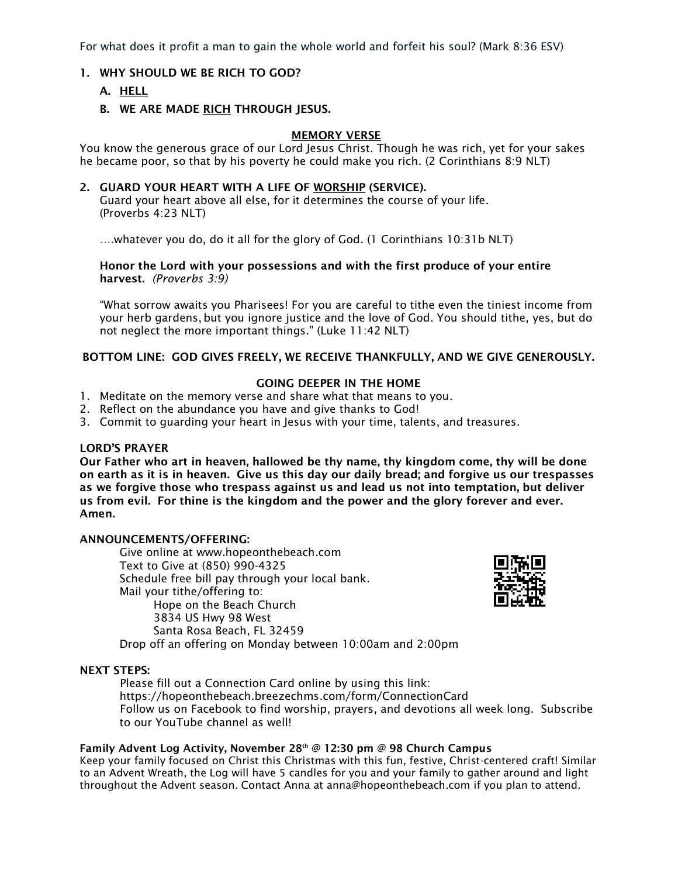For what does it profit a man to gain the whole world and forfeit his soul? (Mark 8:36 ESV)

## 1. WHY SHOULD WE BE RICH TO GOD?

- A. HELL
- B. WE ARE MADE RICH THROUGH JESUS.

#### MEMORY VERSE

You know the generous grace of our Lord Jesus Christ. Though he was rich, yet for your sakes he became poor, so that by his poverty he could make you rich. (2 Corinthians 8:9 NLT)

### 2. GUARD YOUR HEART WITH A LIFE OF WORSHIP (SERVICE).

Guard your heart above all else, for it determines the course of your life. (Proverbs 4:23 NLT)

….whatever you do, do it all for the glory of God. (1 Corinthians 10:31b NLT)

#### Honor the Lord with your possessions and with the first produce of your entire harvest. *(Proverbs 3:9)*

"What sorrow awaits you Pharisees! For you are careful to tithe even the tiniest income from your herb gardens,but you ignore justice and the love of God. You should tithe, yes, but do not neglect the more important things." (Luke 11:42 NLT)

### BOTTOM LINE: GOD GIVES FREELY, WE RECEIVE THANKFULLY, AND WE GIVE GENEROUSLY.

## GOING DEEPER IN THE HOME

- 1. Meditate on the memory verse and share what that means to you.
- 2. Reflect on the abundance you have and give thanks to God!
- 3. Commit to guarding your heart in Jesus with your time, talents, and treasures.

#### LORD'S PRAYER

Our Father who art in heaven, hallowed be thy name, thy kingdom come, thy will be done on earth as it is in heaven. Give us this day our daily bread; and forgive us our trespasses as we forgive those who trespass against us and lead us not into temptation, but deliver us from evil. For thine is the kingdom and the power and the glory forever and ever. Amen.

#### ANNOUNCEMENTS/OFFERING:

Give online at [www.hopeonthebeach.com](http://www.hopeonthebeach.com/) Text to Give at (850) 990-4325 Schedule free bill pay through your local bank. Mail your tithe/offering to: Hope on the Beach Church 3834 US Hwy 98 West Santa Rosa Beach, FL 32459 Drop off an offering on Monday between 10:00am and 2:00pm



#### NEXT STEPS:

Please fill out a Connection Card online by using this link: <https://hopeonthebeach.breezechms.com/form/ConnectionCard> Follow us on Facebook to find worship, prayers, and devotions all week long. Subscribe to our YouTube channel as well!

#### Family Advent Log Activity, November 28<sup>th</sup> @ 12:30 pm @ 98 Church Campus

Keep your family focused on Christ this Christmas with this fun, festive, Christ-centered craft! Similar to an Advent Wreath, the Log will have 5 candles for you and your family to gather around and light throughout the Advent season. Contact Anna at [anna@hopeonthebeach.com](mailto:anna@hopeonthebeach.com) if you plan to attend.